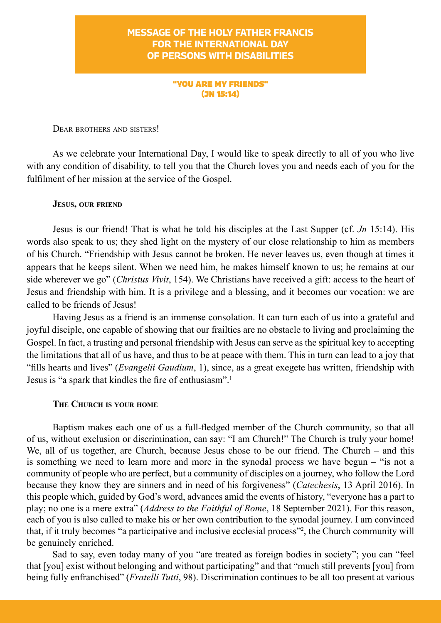# **MESSAGE OF THE HOLY FATHER FRANCIS FOR THE INTERNATIONAL DAY OF PERSONS WITH DISABILITIES**

#### "YOU ARE MY FRIENDS" (JN 15:14)

Dear brothers and sisters!

As we celebrate your International Day, I would like to speak directly to all of you who live with any condition of disability, to tell you that the Church loves you and needs each of you for the fulfilment of her mission at the service of the Gospel.

# **Jesus, our friend**

Jesus is our friend! That is what he told his disciples at the Last Supper (cf. *Jn* 15:14). His words also speak to us; they shed light on the mystery of our close relationship to him as members of his Church. "Friendship with Jesus cannot be broken. He never leaves us, even though at times it appears that he keeps silent. When we need him, he makes himself known to us; he remains at our side wherever we go" (*Christus Vivit*, 154). We Christians have received a gift: access to the heart of Jesus and friendship with him. It is a privilege and a blessing, and it becomes our vocation: we are called to be friends of Jesus!

Having Jesus as a friend is an immense consolation. It can turn each of us into a grateful and joyful disciple, one capable of showing that our frailties are no obstacle to living and proclaiming the Gospel. In fact, a trusting and personal friendship with Jesus can serve as the spiritual key to accepting the limitations that all of us have, and thus to be at peace with them. This in turn can lead to a joy that "fills hearts and lives" (*Evangelii Gaudium*, 1), since, as a great exegete has written, friendship with Jesus is "a spark that kindles the fire of enthusiasm".<sup>1</sup>

### **The Church is your home**

Baptism makes each one of us a full-fledged member of the Church community, so that all of us, without exclusion or discrimination, can say: "I am Church!" The Church is truly your home! We, all of us together, are Church, because Jesus chose to be our friend. The Church – and this is something we need to learn more and more in the synodal process we have begun – "is not a community of people who are perfect, but a community of disciples on a journey, who follow the Lord because they know they are sinners and in need of his forgiveness" (*Catechesis*, 13 April 2016). In this people which, guided by God's word, advances amid the events of history, "everyone has a part to play; no one is a mere extra" (*Address to the Faithful of Rome*, 18 September 2021). For this reason, each of you is also called to make his or her own contribution to the synodal journey. I am convinced that, if it truly becomes "a participative and inclusive ecclesial process"<sup>2</sup> , the Church community will be genuinely enriched.

Sad to say, even today many of you "are treated as foreign bodies in society"; you can "feel that [you] exist without belonging and without participating" and that "much still prevents [you] from being fully enfranchised" (*Fratelli Tutti*, 98). Discrimination continues to be all too present at various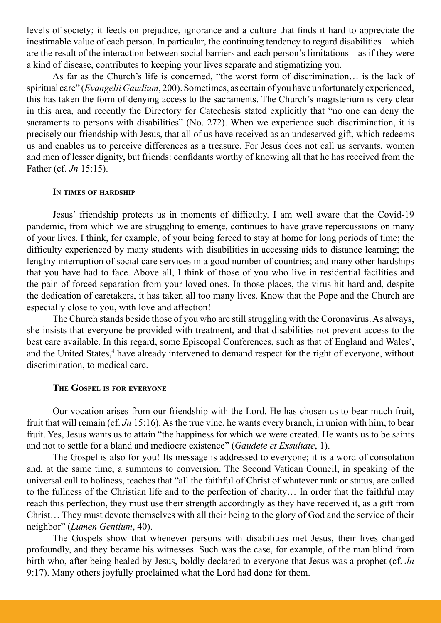levels of society; it feeds on prejudice, ignorance and a culture that finds it hard to appreciate the inestimable value of each person. In particular, the continuing tendency to regard disabilities – which are the result of the interaction between social barriers and each person's limitations – as if they were a kind of disease, contributes to keeping your lives separate and stigmatizing you.

As far as the Church's life is concerned, "the worst form of discrimination… is the lack of spiritual care" (*Evangelii Gaudium*, 200). Sometimes, as certain of you have unfortunately experienced, this has taken the form of denying access to the sacraments. The Church's magisterium is very clear in this area, and recently the Directory for Catechesis stated explicitly that "no one can deny the sacraments to persons with disabilities" (No. 272). When we experience such discrimination, it is precisely our friendship with Jesus, that all of us have received as an undeserved gift, which redeems us and enables us to perceive differences as a treasure. For Jesus does not call us servants, women and men of lesser dignity, but friends: confidants worthy of knowing all that he has received from the Father (cf. *Jn* 15:15).

## **In times of hardship**

Jesus' friendship protects us in moments of difficulty. I am well aware that the Covid-19 pandemic, from which we are struggling to emerge, continues to have grave repercussions on many of your lives. I think, for example, of your being forced to stay at home for long periods of time; the difficulty experienced by many students with disabilities in accessing aids to distance learning; the lengthy interruption of social care services in a good number of countries; and many other hardships that you have had to face. Above all, I think of those of you who live in residential facilities and the pain of forced separation from your loved ones. In those places, the virus hit hard and, despite the dedication of caretakers, it has taken all too many lives. Know that the Pope and the Church are especially close to you, with love and affection!

The Church stands beside those of you who are still struggling with the Coronavirus. As always, she insists that everyone be provided with treatment, and that disabilities not prevent access to the best care available. In this regard, some Episcopal Conferences, such as that of England and Wales<sup>3</sup>, and the United States,<sup>4</sup> have already intervened to demand respect for the right of everyone, without discrimination, to medical care.

#### **The Gospel is for everyone**

Our vocation arises from our friendship with the Lord. He has chosen us to bear much fruit, fruit that will remain (cf. *Jn* 15:16). As the true vine, he wants every branch, in union with him, to bear fruit. Yes, Jesus wants us to attain "the happiness for which we were created. He wants us to be saints and not to settle for a bland and mediocre existence" (*Gaudete et Exsultate*, 1).

The Gospel is also for you! Its message is addressed to everyone; it is a word of consolation and, at the same time, a summons to conversion. The Second Vatican Council, in speaking of the universal call to holiness, teaches that "all the faithful of Christ of whatever rank or status, are called to the fullness of the Christian life and to the perfection of charity… In order that the faithful may reach this perfection, they must use their strength accordingly as they have received it, as a gift from Christ… They must devote themselves with all their being to the glory of God and the service of their neighbor" (*Lumen Gentium*, 40).

The Gospels show that whenever persons with disabilities met Jesus, their lives changed profoundly, and they became his witnesses. Such was the case, for example, of the man blind from birth who, after being healed by Jesus, boldly declared to everyone that Jesus was a prophet (cf. *Jn*  9:17). Many others joyfully proclaimed what the Lord had done for them.